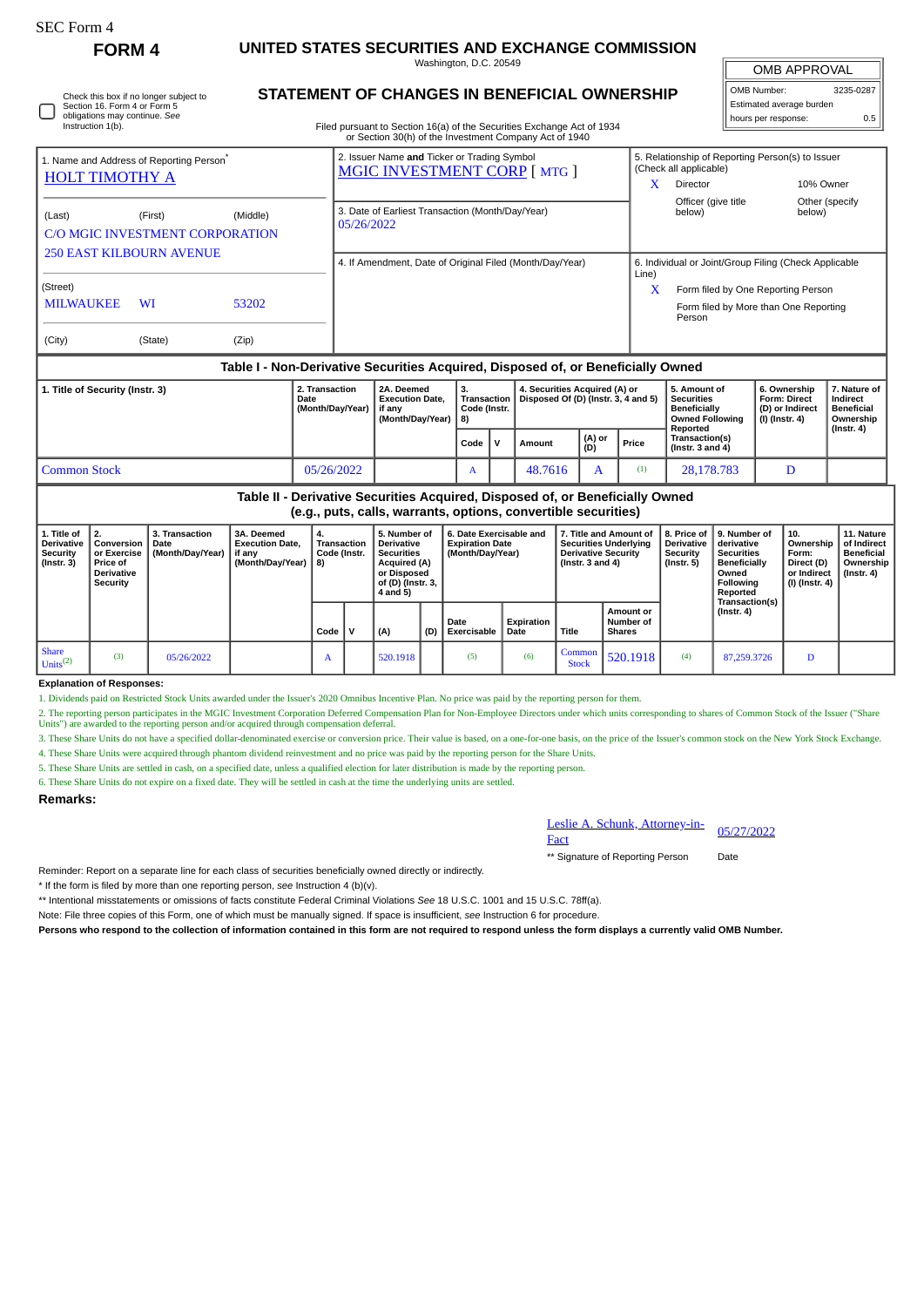| <b>FORM4</b> | UNITED STATES SECURITIES AND EXCHANGE COMMISSION |  |
|--------------|--------------------------------------------------|--|
|              | Washington, D.C. 20549                           |  |

OMB APPROVAL

| OMB Number:              | 3235-0287 |
|--------------------------|-----------|
| Estimated average burden |           |
| hours per response:      |           |

| Check this box if no longer subject to<br>Section 16. Form 4 or Form 5<br>obligations may continue. See | <b>STATEMENT OF CHANGES IN BENEFICIAL OWNERSHIP</b>                    |
|---------------------------------------------------------------------------------------------------------|------------------------------------------------------------------------|
| Instruction 1(b).                                                                                       | Filed pursuant to Section 16(a) of the Securities Exchange Act of 1934 |

Filed pursuant to Section 16(a) of the Securities Exchange Act of 1934 or Section 30(h) of the Investment Company Act of 1940

|                                                                                  |           |                                                    |                                    |                                                                                   |                                   | or Scenon Softly of the investment Company Act or 1940               |                                                                            |                                                                                    |                                                                          |                                                            |  |
|----------------------------------------------------------------------------------|-----------|----------------------------------------------------|------------------------------------|-----------------------------------------------------------------------------------|-----------------------------------|----------------------------------------------------------------------|----------------------------------------------------------------------------|------------------------------------------------------------------------------------|--------------------------------------------------------------------------|------------------------------------------------------------|--|
| 1. Name and Address of Reporting Person <sup>®</sup><br><b>HOLT TIMOTHY A</b>    |           |                                                    |                                    | 2. Issuer Name and Ticker or Trading Symbol<br><b>MGIC INVESTMENT CORP [MTG ]</b> |                                   |                                                                      | 5. Relationship of Reporting Person(s) to Issuer<br>(Check all applicable) |                                                                                    |                                                                          |                                                            |  |
|                                                                                  |           |                                                    |                                    |                                                                                   |                                   |                                                                      |                                                                            | <b>Director</b>                                                                    | 10% Owner                                                                |                                                            |  |
| (Last)                                                                           | (First)   | (Middle)<br><b>C/O MGIC INVESTMENT CORPORATION</b> | 05/26/2022                         | 3. Date of Earliest Transaction (Month/Day/Year)                                  |                                   |                                                                      |                                                                            | Officer (give title)<br>below)                                                     | below)                                                                   | Other (specify)                                            |  |
| <b>250 EAST KILBOURN AVENUE</b>                                                  |           |                                                    |                                    | 4. If Amendment, Date of Original Filed (Month/Day/Year)                          |                                   |                                                                      | 6. Individual or Joint/Group Filing (Check Applicable<br>Line)             |                                                                                    |                                                                          |                                                            |  |
| (Street)                                                                         |           |                                                    |                                    |                                                                                   |                                   |                                                                      | x                                                                          | Form filed by One Reporting Person                                                 |                                                                          |                                                            |  |
| <b>MILWAUKEE</b>                                                                 | <b>WI</b> | 53202                                              |                                    |                                                                                   |                                   |                                                                      |                                                                            | Form filed by More than One Reporting<br>Person                                    |                                                                          |                                                            |  |
| (City)                                                                           | (State)   | (Zip)                                              |                                    |                                                                                   |                                   |                                                                      |                                                                            |                                                                                    |                                                                          |                                                            |  |
| Table I - Non-Derivative Securities Acquired, Disposed of, or Beneficially Owned |           |                                                    |                                    |                                                                                   |                                   |                                                                      |                                                                            |                                                                                    |                                                                          |                                                            |  |
| 1. Title of Security (Instr. 3)<br><b>Date</b>                                   |           |                                                    | 2. Transaction<br>(Month/Day/Year) | 2A. Deemed<br><b>Execution Date.</b><br>if anv<br>(Month/Day/Year)   8)           | 3.<br>Transaction<br>Code (Instr. | 4. Securities Acquired (A) or<br>Disposed Of (D) (Instr. 3, 4 and 5) |                                                                            | 5. Amount of<br><b>Securities</b><br><b>Beneficially</b><br><b>Owned Following</b> | 6. Ownership<br><b>Form: Direct</b><br>(D) or Indirect<br>(I) (Instr. 4) | 7. Nature of<br>Indirect<br><b>Beneficial</b><br>Ownership |  |

|                                                                                                                                               |            |  |                   |  |         |               | Reported |                                        | (Instr. 4) |  |
|-----------------------------------------------------------------------------------------------------------------------------------------------|------------|--|-------------------|--|---------|---------------|----------|----------------------------------------|------------|--|
|                                                                                                                                               |            |  | Code $\mathsf{V}$ |  | Amount  | (A) or<br>(D) | Price    | Transaction(s)<br>( $Instr. 3 and 4$ ) |            |  |
| <b>Common Stock</b>                                                                                                                           | 05/26/2022 |  | $\mathbf{r}$      |  | 48.7616 |               |          | 28.178.783                             |            |  |
| Table II - Derivative Securities Acquired, Disposed of, or Beneficially Owned<br>(e.g. puts, calls warrants, ontions, convertible securities) |            |  |                   |  |         |               |          |                                        |            |  |

**Table II - Derivative Securities Acquired, Disposed of, or Beneficially Owned (e.g., puts, calls, warrants, options, convertible securities)**

| 1. Title of<br><b>Derivative</b><br>Security<br>(Instr. 3) | Conversion<br>or Exercise<br><b>Price of</b><br><b>Derivative</b><br>Security | 3. Transaction<br>Date<br>(Month/Dav/Year) | 3A. Deemed<br><b>Execution Date.</b><br>if anv<br>(Month/Day/Year) | 4.<br>Transaction<br>Code (Instr.<br>8) |   | 5. Number of<br><b>Derivative</b><br><b>Securities</b><br><b>Acquired (A)</b><br>or Disposed<br>of (D) (Instr. 3,<br>4 and 5) |     |                            |                    | 6. Date Exercisable and<br><b>Expiration Date</b><br>(Month/Day/Year) |                                                |                                    |             | 7. Title and Amount of<br><b>Securities Underlying</b><br><b>Derivative Security</b><br>(Instr. $3$ and $4$ ) |  | <b>Derivative</b><br>Security<br>(Instr. 5) | 8. Price of 19. Number of<br>derivative<br><b>Securities</b><br><b>Beneficially</b><br>Owned<br>Following<br>Reported | 10.<br>Ownership<br>Form:<br>Direct (D)<br>or Indirect<br>(I) (Instr. 4) | 11. Nature<br>of Indirect<br><b>Beneficial</b><br>Ownership<br>$($ lnstr. 4 $)$ |
|------------------------------------------------------------|-------------------------------------------------------------------------------|--------------------------------------------|--------------------------------------------------------------------|-----------------------------------------|---|-------------------------------------------------------------------------------------------------------------------------------|-----|----------------------------|--------------------|-----------------------------------------------------------------------|------------------------------------------------|------------------------------------|-------------|---------------------------------------------------------------------------------------------------------------|--|---------------------------------------------|-----------------------------------------------------------------------------------------------------------------------|--------------------------------------------------------------------------|---------------------------------------------------------------------------------|
|                                                            |                                                                               |                                            |                                                                    | Code                                    | v | <sup>1</sup> (A)                                                                                                              | (D) | Date<br><b>Exercisable</b> | Expiration<br>Date | Title                                                                 | <b>Amount or</b><br>Number of<br><b>Shares</b> | Transaction(s)<br>$($ Instr. 4 $)$ |             |                                                                                                               |  |                                             |                                                                                                                       |                                                                          |                                                                                 |
| Share<br>Units <sup>(2)</sup>                              | (3)                                                                           | 05/26/2022                                 |                                                                    | A                                       |   | 520.1918                                                                                                                      |     | (5)                        | (6)                | Common<br><b>Stock</b>                                                | 520.1918                                       | (4)                                | 87,259,3726 | D                                                                                                             |  |                                             |                                                                                                                       |                                                                          |                                                                                 |

**Explanation of Responses:**

SEC Form 4

1. Dividends paid on Restricted Stock Units awarded under the Issuer's 2020 Omnibus Incentive Plan. No price was paid by the reporting person for them.

2. The reporting person participates in the MGIC Investment Corporation Deferred Compensation Plan for Non-Employee Directors under which units corresponding to shares of Common Stock of the Issuer ("Share<br>Units") are awar

3. These Share Units do not have a specified dollar-denominated exercise or conversion price. Their value is based, on a one-for-one basis, on the price of the Issuer's common stock on the New York Stock Exchange.

4. These Share Units were acquired through phantom dividend reinvestment and no price was paid by the reporting person for the Share Units.

5. These Share Units are settled in cash, on a specified date, unless a qualified election for later distribution is made by the reporting person.

6. These Share Units do not expire on a fixed date. They will be settled in cash at the time the underlying units are settled.

## **Remarks:**

Leslie A. Schunk, Attorney-in-Eesne A. Schunk, Attorney-in-<br>Fact

\*\* Signature of Reporting Person Date

Reminder: Report on a separate line for each class of securities beneficially owned directly or indirectly.

\* If the form is filed by more than one reporting person, *see* Instruction 4 (b)(v).

\*\* Intentional misstatements or omissions of facts constitute Federal Criminal Violations *See* 18 U.S.C. 1001 and 15 U.S.C. 78ff(a).

Note: File three copies of this Form, one of which must be manually signed. If space is insufficient, *see* Instruction 6 for procedure.

**Persons who respond to the collection of information contained in this form are not required to respond unless the form displays a currently valid OMB Number.**